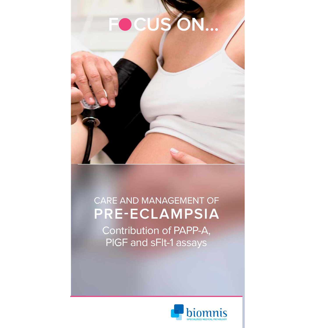# FOCUS ON...



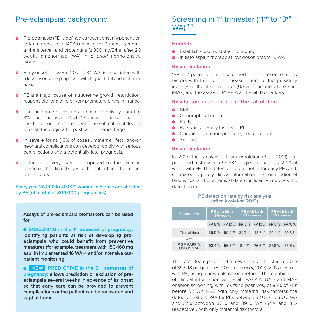## Pre-eclampsia: background

- Pre-eclampsia (PE) is defined as recent onset hypertension (arterial pressure ≥ 140/90 mmHg for 2 measurements at 4hr interval) and proteinuria (≥ 300 mg/24hr) after 20 weeks amenorrhea (WA) in *a priori* normotensive women. **>**
- Early onset (between 20 and 34 WA) is associated with a less favourable prognosis with higher fetal and maternal risks. **>**
- PE is a major cause of intrauterine growth retardation, responsible for a third of very premature births in France. **>**
- The incidence of PE in France is respectively from 1 to **>** 3% in nulliparous and 0.5 to 1.5% in multiparous females<sup>[1]</sup>. It is the second most frequent cause of maternal deaths of obstetric origin after postpartum hemorrhage.
- In severe forms (10% of cases), maternal, fetal and/or **>** neonatal complications can develop rapidly with serious complications and a potentially fatal prognosis.
- **>** Induced delivery may be proposed by the clinician based on the clinical signs of the patient and the impact on the fetus.

### **Every year 24,000 to 40,000 women in France are affected by PE (of a total of 800,000 pregnancies).**

**Assays of pre-eclampsia biomarkers can be used for:**

**SCREENING in the 1st trimester of pregnancy: > identifying patients at risk of developing preeclampsia who could benefit from preventive measures (for example, treatment with 150-160 mg aspirin implemented 16 WA)[2] and/or intensive outpatient monitoring.**

**NEW PREDICTIVE in the 2nd semester of > pregnancy: allows prediction or exclusion of preeclampsia several weeks in advance of its onset so that early care can be provided to prevent complications or the patient can be reassured and kept at home.**

## Screening in 1<sup>st</sup> trimester (11<sup>+0</sup> to 13<sup>+6</sup> WA)[3-5]

## **Benefits**

- Establish close obstetric monitoring **>**
- **•** Initiate aspirin therapy at low doses before 16 WA

## **Risk calculation**

"PE risk" patients can be screened for the presence of risk factors with the Doppler measurement of the pulsatility index (PI) of the uterine arteries (UAD), mean arterial pressure (MAP) and the assay of PAPP-A and PIGF biomarkers.

#### **Risk factors incorporated in the calculation**

- BMI **>**
- Geographical origin **>**
- Parity **>**
- Personal or family history of PE **>**
- Chronic high blood pressure, treated or not **>**
- Smoking **>**

## **Risk calculation**

In 2013, the Nicolaides team (Akolekar et al. 2013) has published a study with 58,884 single pregnancies, 2.4% of which with PE. The detection rate is better for early PEs and, compared to purely clinical information, the combination of biophysical and biochemical data significantly improves the detection rate.

#### **PE detection rate by risk analysis (after Akolekar, 2013)**

| <b>Parameters</b>                     | <b>PE</b> with birth<br><34 weeks |                                              | <b>PE</b> with birth<br><37 weeks |               | <b>PE with birth</b><br>>37 weeks |        |
|---------------------------------------|-----------------------------------|----------------------------------------------|-----------------------------------|---------------|-----------------------------------|--------|
|                                       |                                   | FP 5 % FP 10 % FP 5 % FP 10 % FP 5 % FP 10 % |                                   |               |                                   |        |
| Clinical data                         |                                   | 35.5 % 50.5 % 32.7 % 43.3 % 29.4 % 40.3 %    |                                   |               |                                   |        |
| with                                  |                                   |                                              |                                   |               |                                   |        |
| PIGF, PAPP-A,<br><b>UAD &amp; MAP</b> |                                   | 93.4 % 96.3 %                                | 61.1%                             | 76.6 % 37.8 % |                                   | 53.6 % |

The same team published a new study at the start of 2016 of 35,948 pregnancies (O'Gorman et al, 2016), 2.9% of which with PE, using a new calculation method. The combination of clinical information with PlGF, PAPP-A, UAD and MAP enables screening, with 5% false positives, of 82% of PEs before 32 WA (42% with only maternal risk factors); the detection rate is 59% for PEs between 32+0 and 36+6 WA and 37% between 37+0 and 39+6 WA (34% and 31% respectively with only maternal risk factors).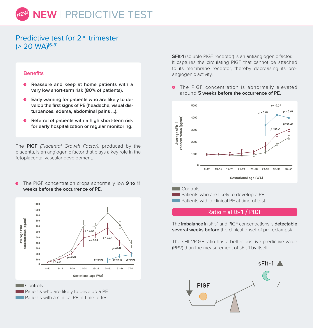## Predictive test for 2nd trimester (> 20 WA)[6-8]

#### **Benefits**

- **Reassure and keep at home patients with a > very low short-term risk (80% of patients).**
- **Early warning for patients who are likely to de-> velop the first signs of PE (headache, visual disturbances, edema, abdominal pains ...).**
- **Referral of patients with a high short-term risk > for early hospitalization or regular monitoring.**

The **PlGF** (Placental Growth Factor), produced by the placenta, is an angiogenic factor that plays a key role in the fetoplacental vascular development.

The PlGF concentration drops abnormally low **9 to 11 weeks before the occurrence of PE. >**



**Controls** 

**Patients who are likely to develop a PE Patients with a clinical PF at time of test** 

**SFlt-1** (soluble PlGF receptor) is an antiangiogenic factor. It captures the circulating PlGF that cannot be attached to its membrane receptor, thereby decreasing its proangiogenic activity.

The PlGF concentration is abnormally elevated around **5 weeks before the occurrence of PE. >**



**Patients who are likely to develop a PE Patients with a clinical PE at time of test** 

## Ratio = sFlt-1 / PlGF

The **imbalance** in sFlt-1 and PlGF concentrations is **detectable several weeks before** the clinical onset of pre-eclampsia.

The sFlt-1/PlGF ratio has a better positive predictive value (PPV) than the measurement of sFlt-1 by itself.

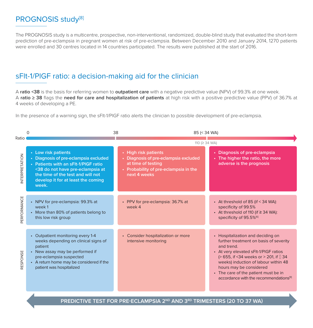# PROGNOSIS study<sup>[8]</sup>

The PROGNOSIS study is a multicentre, prospective, non-interventional, randomized, double-blind study that evaluated the short-term prediction of pre-eclampsia in pregnant women at risk of pre-eclampsia. Between December 2010 and January 2014, 1270 patients were enrolled and 30 centres located in 14 countries participated. The results were published at the start of 2016.

# sFlt-1/PlGF ratio: a decision-making aid for the clinician

A **ratio <38** is the basis for referring women to **outpatient care** with a negative predictive value (NPV) of 99.3% at one week. A **ratio ≥ 38** flags the **need for care and hospitalization of patients** at high risk with a positive predictive value (PPV) of 36.7% at 4 weeks of developing a PE.

In the presence of a warning sign, the sFIt-1/PIGF ratio alerts the clinician to possible development of pre-eclampsia.

|               | $\Omega$                                                                                                                                                                                                                     |  | 85 (< 34 WA)                                                                                                                                 |  |                                                                                                                                                                                                                                                                                                                                            |  |  |
|---------------|------------------------------------------------------------------------------------------------------------------------------------------------------------------------------------------------------------------------------|--|----------------------------------------------------------------------------------------------------------------------------------------------|--|--------------------------------------------------------------------------------------------------------------------------------------------------------------------------------------------------------------------------------------------------------------------------------------------------------------------------------------------|--|--|
| Ratio         | 110 ( $\geq$ 34 WA)                                                                                                                                                                                                          |  |                                                                                                                                              |  |                                                                                                                                                                                                                                                                                                                                            |  |  |
| NTERPRETATION | • Low risk patients<br>• Diagnosis of pre-eclampsia excluded<br>• Patients with an sFIt-1/PIGF ratio<br><38 do not have pre-eclampsia at<br>the time of the test and will not<br>develop it for at least the coming<br>week. |  | • High risk patients<br>• Diagnosis of pre-eclampsia excluded<br>at time of testing<br>• Probability of pre-eclampsia in the<br>next 4 weeks |  | • Diagnosis of pre-eclampsia<br>• The higher the ratio, the more<br>adverse is the prognosis                                                                                                                                                                                                                                               |  |  |
| PERFORMANCE   | • NPV for pre-eclampsia: 99.3% at<br>week 1<br>• More than 80% of patients belong to<br>this low risk group                                                                                                                  |  | • PPV for pre-eclampsia: 36.7% at<br>week 4                                                                                                  |  | • At threshold of 85 (if $<$ 34 WA):<br>specificity of 99.5%<br>- At threshold of 110 (if $\geq$ 34 WA):<br>specificity of 95.5% <sup>[6]</sup>                                                                                                                                                                                            |  |  |
| RESPONSE      | • Outpatient monitoring every 1-4<br>weeks depending on clinical signs of<br>patient<br>• New assay may be performed if<br>pre-eclampsia suspected<br>• A return home may be considered if the<br>patient was hospitalized   |  | • Consider hospitalization or more<br>intensive monitoring                                                                                   |  | • Hospitalization and deciding on<br>further treatment on basis of severity<br>and trend<br>• At very elevated sFIt-1/PIGF ratios<br>(> 655, if <34 weeks or > 201, if 34<br>weeks) induction of labour within 48<br>hours may be considered<br>• The care of the patient must be in<br>accordance with the recommendations <sup>[9]</sup> |  |  |

## **PREDICTIVE TEST FOR PRE-ECLAMPSIA 2<sup>ND</sup> AND 3<sup>RD</sup> TRIMESTERS (20 TO 37 WA)**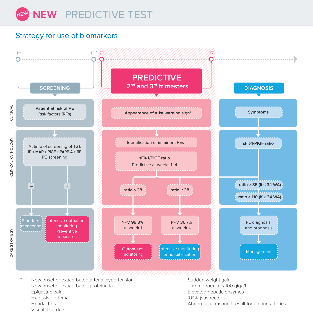

# Strategy for use of biomarkers

![](_page_4_Figure_2.jpeg)

- New onset or exacerbated arterial hypertension
- New onset or exacerbated proteinuria
- Epigastric pain
- Excessive edema
- Headaches
- Visual disorders
- Sudden weight gain
- Thrombopenia (< 100 giga/L)
- Elevated hepatic enzymes
- IUGR (suspected)
- Abnormal ultrasound result for uterine arteries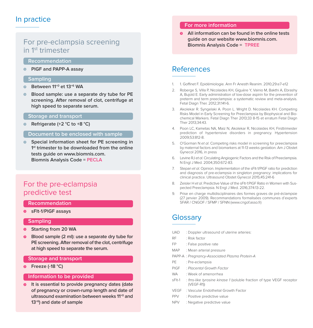## In practice

## For pre-eclampsia screening in 1st trimester

#### **Recommendation**

**PlGF and PAPP-A assay >**

#### **Sampling**

- **Between 11+0 et 13+6 WA >**
- **Blood sample: use a separate dry tube for PE screening. After removal of clot, centrifuge at high speed to separate serum. >**

#### **Storage and transport**

**Refrigerate (+2 °C to +8 °C) >**

## **Document to be enclosed with sample**

**Special information sheet for PE screening in 1st trimester to be downloaded from the online tests guide on www.biomnis.com. Biomnis Analysis Code = PECLA >**

## For the pre-eclampsia predictive test

#### **Recommendation**

**sFlt-1/PlGF assays >**

#### **Sampling**

- **Starting from 20 WA >**
- **Blood sample (2 ml): use a separate dry tube for PE screening. After removal of the clot, centrifuge at high speed to separate the serum. >**

#### **Storage and transport**

**Freeze (-18 °C) >**

#### **Information to be provided**

**It is essential to provide pregnancy dates (date of pregnancy or crown-rump length and date of ultrasound examination between weeks 11+0 and 13+6) and date of sample >**

#### **For more information**

**All information can be found in the online tests >guide on our website www.biomnis.com. Biomnis Analysis Code = TPREE**

## References

- 1. 1. Goffinet F. Epidémiologie. Ann Fr Anesth Reanim. 2010;29:e7-e12
- 2. Roberge S, Villa P, Nicolaides KH, Giguère Y, Vainio M, Bakthi A, Ebrashy A, Bujold E. Early administration of low-dose aspirin for the prevention of preterm and term preeclampsia: a systematic review and meta-analysis. Fetal Diagn Ther. 2012;31:141-6.
- 3. Akolekar R. Syngelaki A. Poon L. Wright D. Nicolaides KH. Competing Risks Model in Early Screening for Preeclampsia by Biophysical and Biochemical Markers. Fetal Diagn Ther 2013;33 8-15 et erratum Fetal Diagn Ther 2013;34:43.
- 4. Poon LC, Kametas NA, Maiz N, Akolekar R, Nicolaides KH, Firsttrimester prediction of hypertensive disorders in pregnancy. Hypertension 2009;53:812-8.
- 5. O'Gorman N et al. Competing risks model in screening for preeclampsia by maternal factors and biomarkers at 11-13 weeks gestation. Am J Obstet Gynecol 2016, in press
- 6. Levine RJ et al. Circulating Angiogenic Factors and the Risk of Preeclampsia. N Engl J Med. 2004;350:672-83.
- 7. Stepan et al. Opinion. Implementation of the sFIt-1/PIGF ratio for prediction and diagnosis of pre-eclampsia in singleton pregnancy: implications for clinical practice. Ultrasound Obstet Gynecol 2015;45:241-6
- 8. Zeisler H et al. Predictive Value of the sFIt-1:PIGF Ratio in Women with Suspected Preeclampsia. N Engl J Med. 2016;374:13-22.
- 9. Prise en charge multidisciplinaires des formes graves de pré-éclampsie (27 janvier 2009). Recommandations formalisées communes d'experts SFAR / CNGOF / SFMP / SFNN (www.cngof.asso.fr)

## **Glossary**

- UAD : Doppler ultrasound of uterine arteries:
- RF : Risk factor
- FP : False positive rate
- MAP : Mean arterial pressure
- PAPP-A : Pregnancy-Associated Plasma Protein-A
- PE : Pre-eclampsia
- PlGF : Placental Growth Factor
- WA : Week of amenorrhea
- sFlt-1 : fms-like tyrosine kinase 1 (soluble fraction of type VEGF receptor (VEGF-R1))
- VEGF : Vascular Endothelial Growth Factor
- PPV : Positive predictive value
- NPV : Negative predictive value